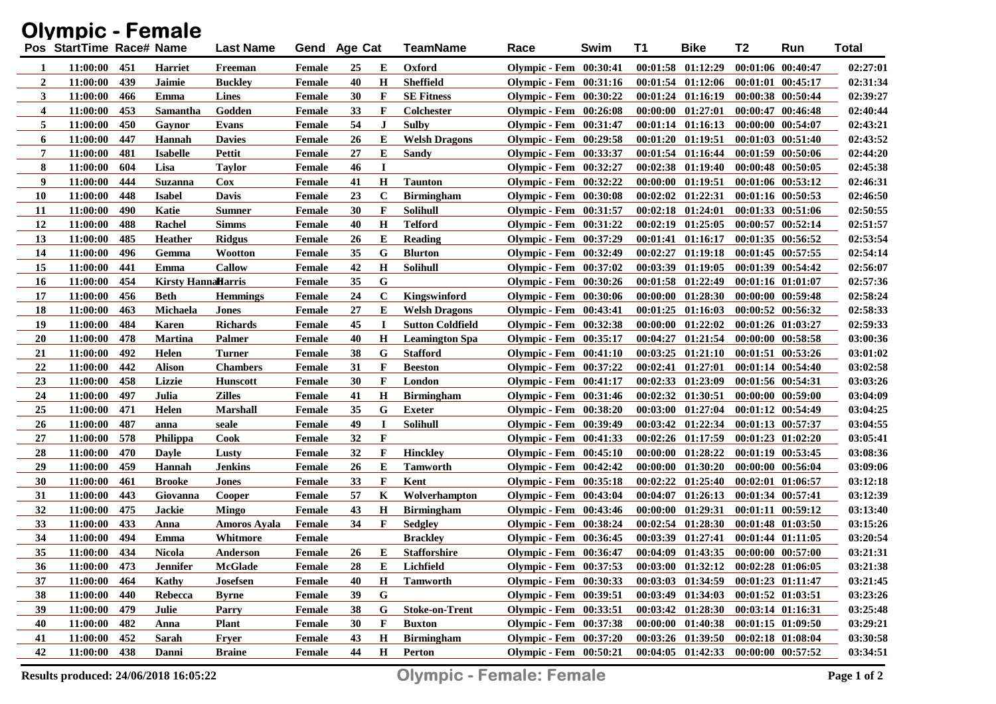| <b>Olympic - Female</b> |                          |     |                           |                     |               |    |             |                         |                               |      |          |                                             |                       |                       |              |
|-------------------------|--------------------------|-----|---------------------------|---------------------|---------------|----|-------------|-------------------------|-------------------------------|------|----------|---------------------------------------------|-----------------------|-----------------------|--------------|
|                         | Pos StartTime Race# Name |     |                           | <b>Last Name</b>    | Gend Age Cat  |    |             | <b>TeamName</b>         | Race                          | Swim | T1       | <b>Bike</b>                                 | T2                    | Run                   | <b>Total</b> |
| -1                      | 11:00:00                 | 451 | <b>Harriet</b>            | Freeman             | Female        | 25 | Е           | Oxford                  | <b>Olympic - Fem</b> 00:30:41 |      |          | $00:01:58$ $01:12:29$                       |                       | $00:01:06$ $00:40:47$ | 02:27:01     |
| $\overline{2}$          | 11:00:00                 | 439 | Jaimie                    | <b>Buckley</b>      | <b>Female</b> | 40 | H           | <b>Sheffield</b>        | <b>Olympic - Fem</b> 00:31:16 |      |          | $00:01:54$ $01:12:06$                       |                       | $00:01:01$ $00:45:17$ | 02:31:34     |
| 3                       | 11:00:00                 | 466 | Emma                      | <b>Lines</b>        | <b>Female</b> | 30 | F           | <b>SE Fitness</b>       | <b>Olympic - Fem</b> 00:30:22 |      |          | $00:01:24$ $01:16:19$                       |                       | 00:00:38 00:50:44     | 02:39:27     |
| $\overline{\mathbf{4}}$ | 11:00:00                 | 453 | Samantha                  | Godden              | <b>Female</b> | 33 | F           | Colchester              | <b>Olympic - Fem</b> 00:26:08 |      |          | $00:00:00$ $01:27:01$                       |                       | 00:00:47 00:46:48     | 02:40:44     |
| 5                       | 11:00:00                 | 450 | Gavnor                    | Evans               | <b>Female</b> | 54 | J           | Sulby                   | <b>Olympic - Fem</b> 00:31:47 |      |          | 00:01:14 01:16:13 00:00:00 00:54:07         |                       |                       | 02:43:21     |
| 6                       | 11:00:00                 | 447 | Hannah                    | <b>Davies</b>       | <b>Female</b> | 26 | E           | <b>Welsh Dragons</b>    | <b>Olympic - Fem</b> 00:29:58 |      |          | $00:01:20$ $01:19:51$                       |                       | $00:01:03$ $00:51:40$ | 02:43:52     |
| 7                       | 11:00:00                 | 481 | <b>Isabelle</b>           | <b>Pettit</b>       | <b>Female</b> | 27 | E           | Sandy                   | <b>Olympic - Fem</b> 00:33:37 |      |          | $00:01:54$ $01:16:44$                       | $00:01:59$ $00:50:06$ |                       | 02:44:20     |
| 8                       | 11:00:00                 | 604 | Lisa                      | <b>Taylor</b>       | Female        | 46 | $\bf{I}$    |                         | <b>Olympic - Fem</b> 00:32:27 |      |          | 00:02:38 01:19:40 00:00:48 00:50:05         |                       |                       | 02:45:38     |
| 9                       | 11:00:00                 | 444 | <b>Suzanna</b>            | $\bf Cox$           | <b>Female</b> | 41 | $\bf H$     | <b>Taunton</b>          | <b>Olympic - Fem</b> 00:32:22 |      |          | 00:00:00 01:19:51 00:01:06 00:53:12         |                       |                       | 02:46:31     |
| 10                      | 11:00:00                 | 448 | <b>Isabel</b>             | Davis               | <b>Female</b> | 23 | $\mathbf C$ | <b>Birmingham</b>       | <b>Olympic - Fem</b> 00:30:08 |      |          | $00:02:02$ $01:22:31$                       |                       | $00:01:16$ $00:50:53$ | 02:46:50     |
| 11                      | 11:00:00                 | 490 | Katie                     | <b>Sumner</b>       | <b>Female</b> | 30 | F           | <b>Solihull</b>         | Olympic - Fem 00:31:57        |      |          | $00:02:18$ $01:24:01$                       |                       | 00:01:33 00:51:06     | 02:50:55     |
| 12                      | 11:00:00                 | 488 | Rachel                    | <b>Simms</b>        | <b>Female</b> | 40 | H           | <b>Telford</b>          | <b>Olympic - Fem</b> 00:31:22 |      |          | $00:02:19$ $01:25:05$                       | $00:00:57$ $00:52:14$ |                       | 02:51:57     |
| 13                      | 11:00:00                 | 485 | <b>Heather</b>            | <b>Ridgus</b>       | <b>Female</b> | 26 | E           | <b>Reading</b>          | Olympic - Fem 00:37:29        |      |          | $00:01:41$ $01:16:17$                       |                       | $00:01:35$ $00:56:52$ | 02:53:54     |
| 14                      | 11:00:00                 | 496 | Gemma                     | <b>Wootton</b>      | <b>Female</b> | 35 | G           | <b>Blurton</b>          | <b>Olympic - Fem</b> 00:32:49 |      |          | $00:02:27$ $01:19:18$                       | $00:01:45$ $00:57:55$ |                       | 02:54:14     |
| 15                      | 11:00:00                 | 441 | Emma                      | Callow              | <b>Female</b> | 42 | H           | <b>Solihull</b>         | <b>Olympic - Fem</b> 00:37:02 |      |          | $00:03:39$ $01:19:05$                       | 00:01:39 00:54:42     |                       | 02:56:07     |
| 16                      | 11:00:00                 | 454 | <b>Kirsty HannaHarris</b> |                     | <b>Female</b> | 35 | G           |                         | Olympic - Fem 00:30:26        |      |          | $00:01:58$ $01:22:49$                       |                       | 00:01:16 01:01:07     | 02:57:36     |
| 17                      | 11:00:00                 | 456 | <b>Beth</b>               | <b>Hemmings</b>     | <b>Female</b> | 24 | $\mathbf C$ | Kingswinford            | <b>Olympic - Fem</b> 00:30:06 |      |          | $00:00:00$ $01:28:30$                       |                       | $00:00:00$ $00:59:48$ | 02:58:24     |
| 18                      | 11:00:00                 | 463 | Michaela                  | <b>Jones</b>        | <b>Female</b> | 27 | E           | <b>Welsh Dragons</b>    | <b>Olympic - Fem</b> 00:43:41 |      |          | $00:01:25$ $01:16:03$                       |                       | $00:00:52$ $00:56:32$ | 02:58:33     |
| 19                      | 11:00:00                 | 484 | <b>Karen</b>              | <b>Richards</b>     | <b>Female</b> | 45 | $\bf{I}$    | <b>Sutton Coldfield</b> | <b>Olympic - Fem</b> 00:32:38 |      |          | $00:00:00$ $01:22:02$                       |                       | $00:01:26$ $01:03:27$ | 02:59:33     |
| 20                      | 11:00:00                 | 478 | <b>Martina</b>            | <b>Palmer</b>       | <b>Female</b> | 40 | H           | <b>Leamington Spa</b>   | <b>Olympic - Fem</b> 00:35:17 |      |          | 00:04:27 01:21:54                           |                       | $00:00:00$ $00:58:58$ | 03:00:36     |
| 21                      | 11:00:00                 | 492 | Helen                     | Turner              | <b>Female</b> | 38 | G           | <b>Stafford</b>         | <b>Olympic - Fem</b> 00:41:10 |      |          | $00:03:25$ $01:21:10$                       |                       | $00:01:51$ $00:53:26$ | 03:01:02     |
| 22                      | 11:00:00                 | 442 | <b>Alison</b>             | <b>Chambers</b>     | <b>Female</b> | 31 | F           | <b>Beeston</b>          | <b>Olympic - Fem</b> 00:37:22 |      |          | $00:02:41$ $01:27:01$                       |                       | $00:01:14$ $00:54:40$ | 03:02:58     |
| 23                      | 11:00:00                 | 458 | Lizzie                    | <b>Hunscott</b>     | <b>Female</b> | 30 | F           | London                  | <b>Olympic - Fem</b> 00:41:17 |      |          | $00:02:33$ $01:23:09$                       |                       | $00:01:56$ $00:54:31$ | 03:03:26     |
| 24                      | 11:00:00                 | 497 | Julia                     | <b>Zilles</b>       | <b>Female</b> | 41 | H           | <b>Birmingham</b>       | <b>Olympic - Fem</b> 00:31:46 |      |          | $00:02:32$ $01:30:51$                       |                       | $00:00:00$ $00:59:00$ | 03:04:09     |
| 25                      | 11:00:00                 | 471 | Helen                     | <b>Marshall</b>     | Female        | 35 | G           | <b>Exeter</b>           | <b>Olympic - Fem</b> 00:38:20 |      |          | $00:03:00$ $01:27:04$                       |                       | $00:01:12$ $00:54:49$ | 03:04:25     |
| 26                      | 11:00:00                 | 487 | anna                      | seale               | <b>Female</b> | 49 | $\bf{I}$    | Solihull                | <b>Olympic - Fem</b> 00:39:49 |      |          | $00:03:42$ $01:22:34$                       |                       | $00:01:13$ $00:57:37$ | 03:04:55     |
| 27                      | 11:00:00                 | 578 | Philippa                  | <b>Cook</b>         | <b>Female</b> | 32 | F           |                         | Olympic - Fem 00:41:33        |      |          | $00:02:26$ $01:17:59$                       |                       | $00:01:23$ $01:02:20$ | 03:05:41     |
| 28                      | 11:00:00                 | 470 | <b>Dayle</b>              | Lusty               | Female        | 32 | F           | <b>Hinckley</b>         | <b>Olympic - Fem</b> 00:45:10 |      |          | $00:00:00$ $01:28:22$                       |                       | $00:01:19$ $00:53:45$ | 03:08:36     |
| 29                      | 11:00:00                 | 459 | Hannah                    | <b>Jenkins</b>      | <b>Female</b> | 26 | E           | <b>Tamworth</b>         | <b>Olympic - Fem</b> 00:42:42 |      | 00:00:00 | 01:30:20                                    |                       | 00:00:00 00:56:04     | 03:09:06     |
| 30                      | 11:00:00                 | 461 | <b>Brooke</b>             | Jones               | <b>Female</b> | 33 | F           | Kent                    | Olympic - Fem 00:35:18        |      |          | $00:02:22$ $01:25:40$                       | $00:02:01$ $01:06:57$ |                       | 03:12:18     |
| 31                      | 11:00:00                 | 443 | Giovanna                  | Cooper              | Female        | 57 | K           | Wolverhampton           | <b>Olympic - Fem</b> 00:43:04 |      |          | $00:04:07$ $01:26:13$                       |                       | 00:01:34 00:57:41     | 03:12:39     |
| 32                      | 11:00:00                 | 475 | <b>Jackie</b>             | <b>Mingo</b>        | <b>Female</b> | 43 | H           | <b>Birmingham</b>       | <b>Olympic - Fem</b> 00:43:46 |      | 00:00:00 | 01:29:31                                    |                       | $00:01:11$ $00:59:12$ | 03:13:40     |
| 33                      | 11:00:00                 | 433 | Anna                      | <b>Amoros Ayala</b> | Female        | 34 | F           | <b>Sedgley</b>          | Olympic - Fem 00:38:24        |      |          | $00:02:54$ $01:28:30$                       |                       | $00:01:48$ $01:03:50$ | 03:15:26     |
| 34                      | 11:00:00                 | 494 | Emma                      | Whitmore            | Female        |    |             | <b>Brackley</b>         | <b>Olympic - Fem</b> 00:36:45 |      |          | 00:03:39 01:27:41 00:01:44 01:11:05         |                       |                       | 03:20:54     |
| 35                      | 11:00:00                 | 434 | <b>Nicola</b>             | Anderson            | Female        | 26 | ${\bf E}$   | <b>Stafforshire</b>     | <b>Olympic - Fem</b> 00:36:47 |      |          | 00:04:09 01:43:35                           | $00:00:00$ $00:57:00$ |                       | 03:21:31     |
| 36                      | 11:00:00                 | 473 | <b>Jennifer</b>           | <b>McGlade</b>      | Female        | 28 | E           | Lichfield               | Olympic - Fem 00:37:53        |      |          | $00:03:00$ $01:32:12$ $00:02:28$ $01:06:05$ |                       |                       | 03:21:38     |
| 37                      | 11:00:00                 | 464 | Kathy                     | Josefsen            | Female        | 40 | $\bf H$     | <b>Tamworth</b>         | Olympic - Fem 00:30:33        |      |          | 00:03:03 01:34:59 00:01:23 01:11:47         |                       |                       | 03:21:45     |
| 38                      | 11:00:00                 | 440 | Rebecca                   | <b>Byrne</b>        | Female        | 39 | G           |                         | Olympic - Fem 00:39:51        |      |          | $00:03:49$ $01:34:03$                       | $00:01:52$ $01:03:51$ |                       | 03:23:26     |
| 39                      | 11:00:00                 | 479 | Julie                     | Parry               | Female        | 38 | G           | <b>Stoke-on-Trent</b>   | Olympic - Fem 00:33:51        |      |          | $00:03:42$ $01:28:30$                       | 00:03:14 01:16:31     |                       | 03:25:48     |
| 40                      | 11:00:00                 | 482 | Anna                      | <b>Plant</b>        | <b>Female</b> | 30 | F           | <b>Buxton</b>           | Olympic - Fem 00:37:38        |      |          | $00:00:00$ $01:40:38$                       | $00:01:15$ $01:09:50$ |                       | 03:29:21     |
| 41                      | 11:00:00                 | 452 | Sarah                     | <b>Fryer</b>        | <b>Female</b> | 43 | $\mathbf H$ | <b>Birmingham</b>       | <b>Olympic - Fem</b> 00:37:20 |      |          | 00:03:26 01:39:50 00:02:18 01:08:04         |                       |                       | 03:30:58     |
| 42                      | 11:00:00                 | 438 | Danni                     | <b>Braine</b>       | Female        | 44 | $\mathbf H$ | Perton                  | <b>Olympic - Fem</b> 00:50:21 |      |          | 00:04:05 01:42:33 00:00:00 00:57:52         |                       |                       | 03:34:51     |